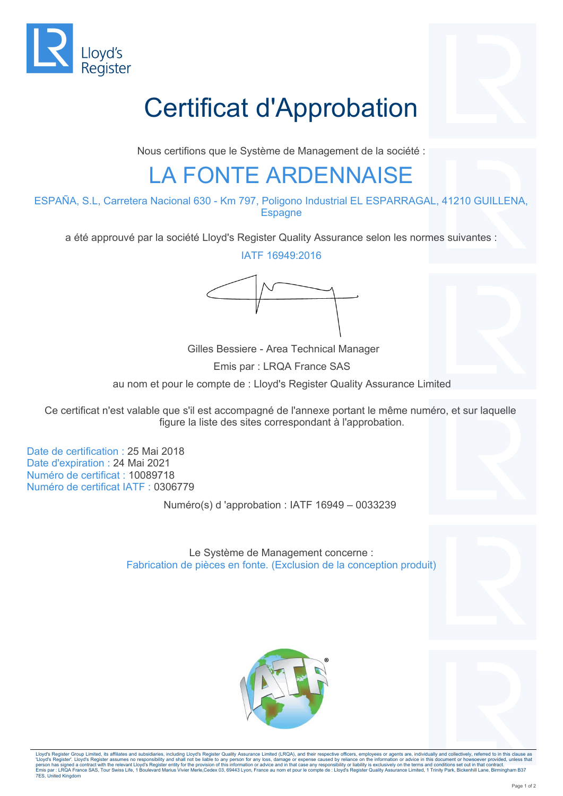

## Certificat d'Approbation

Nous certifions que le Système de Management de la société :

#### LA FONTE ARDENNAISE

ESPAÑA, S.L, Carretera Nacional 630 - Km 797, Poligono Industrial EL ESPARRAGAL, 41210 GUILLENA, **Espagne** 

a été approuvé par la société Lloyd's Register Quality Assurance selon les normes suivantes :

IATF 16949:2016



 Gilles Bessiere - Area Technical Manager Emis par : LRQA France SAS au nom et pour le compte de : Lloyd's Register Quality Assurance Limited

Ce certificat n'est valable que s'il est accompagné de l'annexe portant le même numéro, et sur laquelle figure la liste des sites correspondant à l'approbation.

Date de certification : 25 Mai 2018 Date d'expiration : 24 Mai 2021 Numéro de certificat : 10089718 Numéro de certificat IATF : 0306779

7ES, United Kingdom

Numéro(s) d 'approbation : IATF 16949 – 0033239

Le Système de Management concerne : Fabrication de pièces en fonte. (Exclusion de la conception produit)



Lloyd's Register Group Limited, its affiliates and subsidiaries, including Lloyd's Register Quality Assurance Limited (LRQA), and their respective officers, employees or agents are, individually and collectively, referred person has signed a contract with the relevant Lloyd's Register entity for the provision of this information or advior and in that case any responsibility or liability is exclusively on the terms and compter in the compted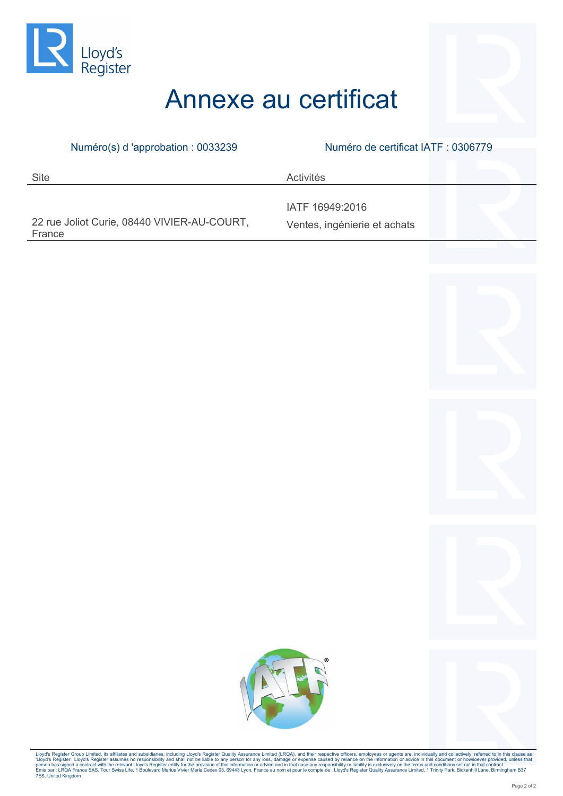

### Annexe au certificat

| Numéro(s) d'approbation : 0033239                     | Numéro de certificat IATF : 0306779             |
|-------------------------------------------------------|-------------------------------------------------|
|                                                       |                                                 |
| <b>Site</b>                                           | Activités                                       |
|                                                       |                                                 |
| 22 rue Joliot Curie, 08440 VIVIER-AU-COURT,<br>France | IATF 16949:2016<br>Ventes, ingénierie et achats |







Lloyd's Register Group Limited, its affiliates and subsidiaries, including Lloyd's Register Quality Assurance Limited (LRQA), and their respective officers, employes or agents are, individually and collectively, referred t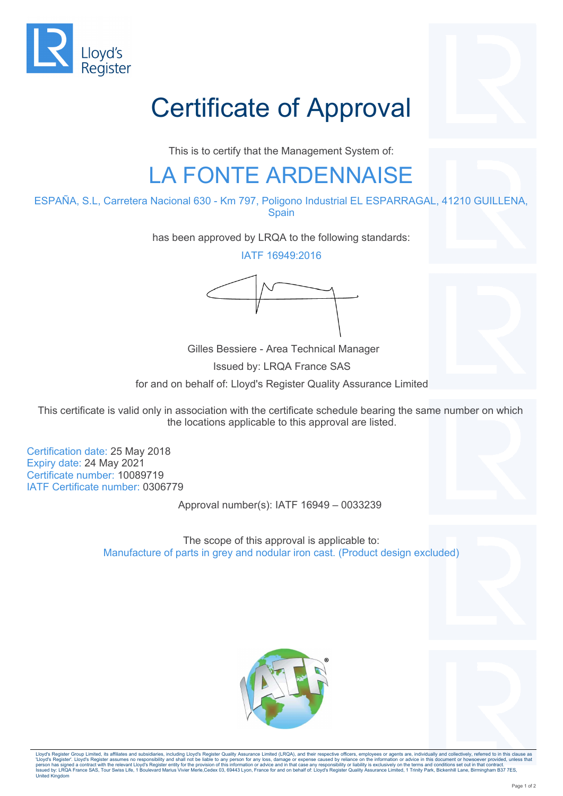

# Certificate of Approval

This is to certify that the Management System of:

#### LA FONTE ARDENNAISE

ESPAÑA, S.L, Carretera Nacional 630 - Km 797, Poligono Industrial EL ESPARRAGAL, 41210 GUILLENA, Spain

has been approved by LRQA to the following standards:

IATF 16949:2016



 Gilles Bessiere - Area Technical Manager Issued by: LRQA France SAS for and on behalf of: Lloyd's Register Quality Assurance Limited

This certificate is valid only in association with the certificate schedule bearing the same number on which the locations applicable to this approval are listed.

Certification date: 25 May 2018 Expiry date: 24 May 2021 Certificate number: 10089719 IATF Certificate number: 0306779

Approval number(s): IATF 16949 – 0033239

The scope of this approval is applicable to: Manufacture of parts in grey and nodular iron cast. (Product design excluded)





Lloyd's Register Group Limited, its affiliates and subsidiaries, including Lloyd's Register Quality Assurance Limited (LRQA), and their respective officers, employees or agents are, individually and collectively, referred person has signed a contract with the relevant Lloyd's Register entity for the provision of this information or advior and in hat case any responsibility or liability is exclusively on the terms and conditions et ought sur United Kingdom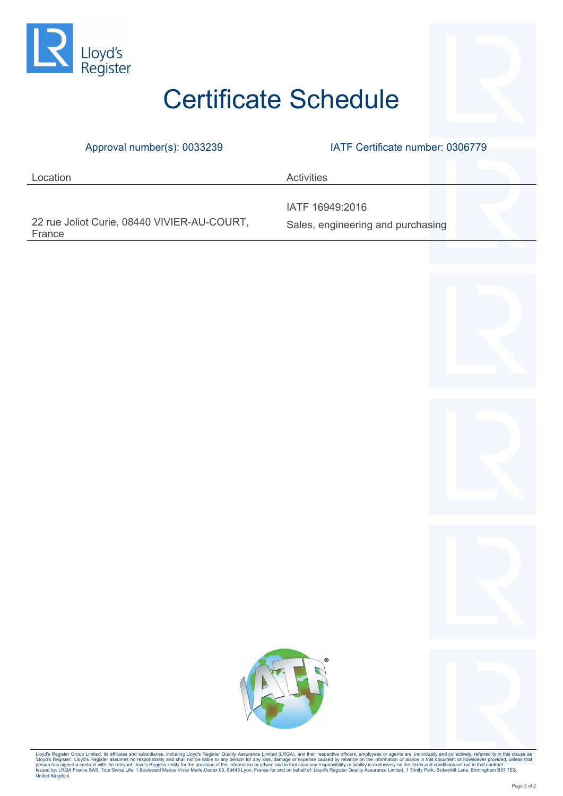

### Certificate Schedule

Approval number(s): 0033239 IATF Certificate number: 0306779

| Location                                              | <b>Activities</b>                 |
|-------------------------------------------------------|-----------------------------------|
|                                                       | IATF 16949:2016                   |
| 22 rue Joliot Curie, 08440 VIVIER-AU-COURT,<br>France | Sales, engineering and purchasing |





Lloyd's Register Group Limited, its affiliates and subsidiaries, including Lloyd's Register Quality Assurance Limited (LRQA), and their respective officers, employees or agents are, individually and collectively, referred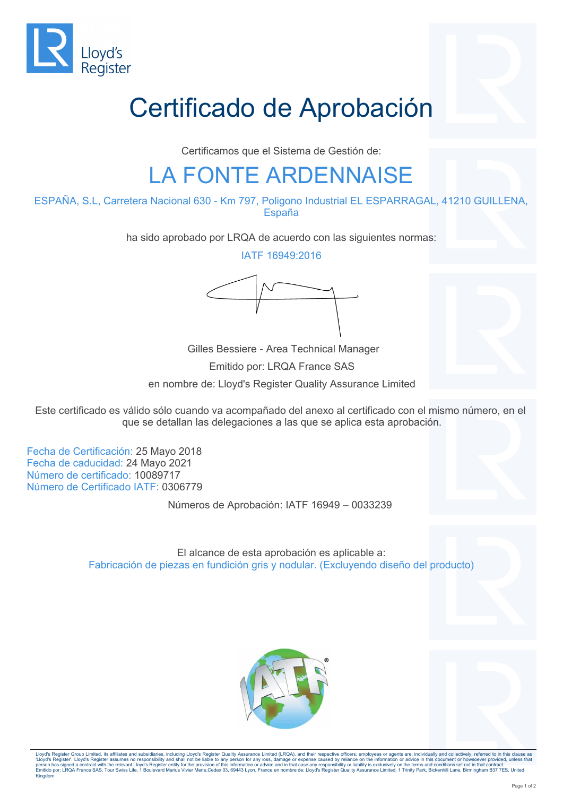

## Certificado de Aprobación

Certificamos que el Sistema de Gestión de:

#### LA FONTE ARDENNAISE

ESPAÑA, S.L, Carretera Nacional 630 - Km 797, Poligono Industrial EL ESPARRAGAL, 41210 GUILLENA, España

ha sido aprobado por LRQA de acuerdo con las siguientes normas:

IATF 16949:2016



 Gilles Bessiere - Area Technical Manager Emitido por: LRQA France SAS en nombre de: Lloyd's Register Quality Assurance Limited

Este certificado es válido sólo cuando va acompañado del anexo al certificado con el mismo número, en el que se detallan las delegaciones a las que se aplica esta aprobación.

Fecha de Certificación: 25 Mayo 2018 Fecha de caducidad: 24 Mayo 2021 Número de certificado: 10089717 Número de Certificado IATF: 0306779

Números de Aprobación: IATF 16949 – 0033239

El alcance de esta aprobación es aplicable a: Fabricación de piezas en fundición gris y nodular. (Excluyendo diseño del producto)





Lloyd's Register Group Limited, its affiliates and subsidiaries, including Lloyd's Register Quality Assurance Limited (LRQA), and their respective officers, employees or agents are, individually and collectively, referred person has signed a contract with the relevant Lloyd's Register entity for the provision of this information or advice and in tha case any responsibility or liability is exclusively on the terms and concluse set on or ent Kingdom